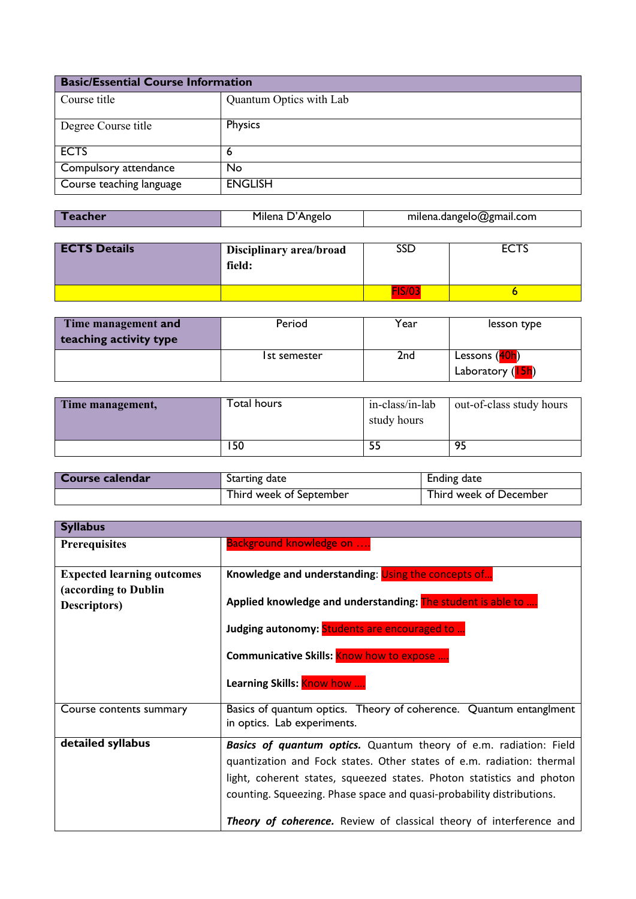| <b>Basic/Essential Course Information</b> |                         |
|-------------------------------------------|-------------------------|
| Course title                              | Quantum Optics with Lab |
| Degree Course title                       | Physics                 |
| <b>ECTS</b>                               | 6                       |
| Compulsory attendance                     | <b>No</b>               |
| Course teaching language                  | <b>ENGLISH</b>          |

| Teacher | Milena D'Angelo | milena.dangelo@gmail.com |
|---------|-----------------|--------------------------|

| <b>ECTS Details</b> | Disciplinary area/broad<br>field: | SSD |  |
|---------------------|-----------------------------------|-----|--|
|                     |                                   |     |  |

| Time management and<br>teaching activity type | Period       | Year | lesson type                                |
|-----------------------------------------------|--------------|------|--------------------------------------------|
|                                               | Ist semester | 2nd  | Lessons (40h)<br>Laboratory ( <b>15h</b> ) |

| Time management, | Total hours | in-class/in-lab<br>study hours | out-of-class study hours |
|------------------|-------------|--------------------------------|--------------------------|
|                  | ' 50        |                                | 95                       |

| Course calendar | Starting date           | Ending date            |
|-----------------|-------------------------|------------------------|
|                 | Third week of September | Third week of December |

| <b>Syllabus</b>                                                           |                                                                                                                                                                                                                                                                                                                                                                            |  |
|---------------------------------------------------------------------------|----------------------------------------------------------------------------------------------------------------------------------------------------------------------------------------------------------------------------------------------------------------------------------------------------------------------------------------------------------------------------|--|
| <b>Prerequisites</b>                                                      | <b>Background knowledge on </b>                                                                                                                                                                                                                                                                                                                                            |  |
| <b>Expected learning outcomes</b><br>(according to Dublin<br>Descriptors) | Knowledge and understanding: Using the concepts of<br>Applied knowledge and understanding: The student is able to<br>Judging autonomy: Students are encouraged to                                                                                                                                                                                                          |  |
|                                                                           | <b>Communicative Skills: Know how to expose </b><br>Learning Skills: Know how                                                                                                                                                                                                                                                                                              |  |
| Course contents summary                                                   | Basics of quantum optics. Theory of coherence. Quantum entanglment<br>in optics. Lab experiments.                                                                                                                                                                                                                                                                          |  |
| detailed syllabus                                                         | <b>Basics of quantum optics.</b> Quantum theory of e.m. radiation: Field<br>quantization and Fock states. Other states of e.m. radiation: thermal<br>light, coherent states, squeezed states. Photon statistics and photon<br>counting. Squeezing. Phase space and quasi-probability distributions.<br>Theory of coherence. Review of classical theory of interference and |  |